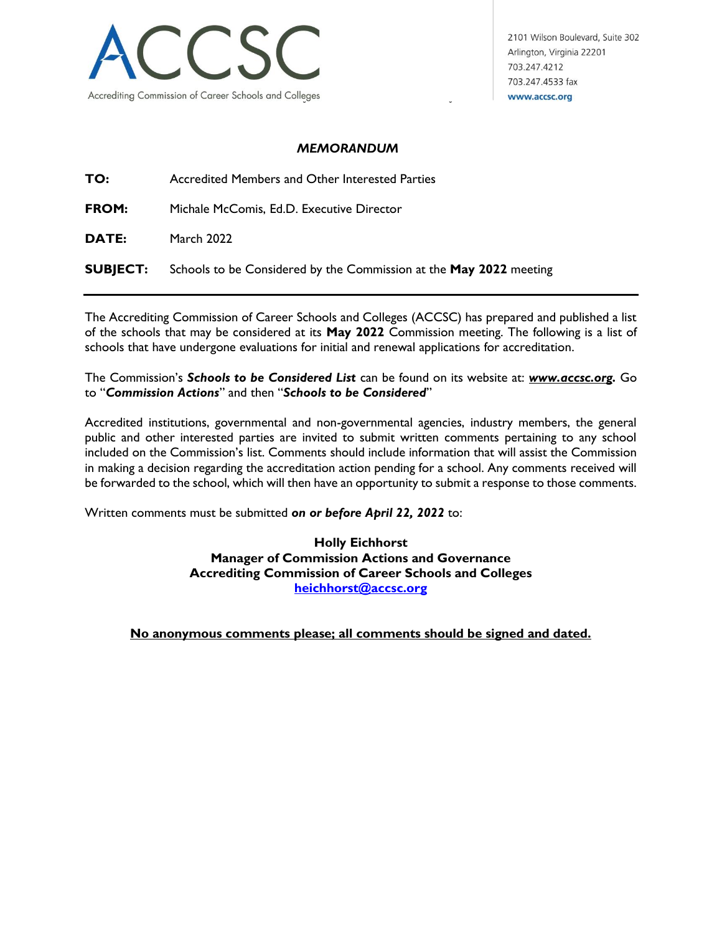

2101 Wilson Boulevard, Suite 302 Arlington, Virginia 22201 703.247.4212 703.247.4533 fax www.accsc.org

## *MEMORANDUM*

**TO:** Accredited Members and Other Interested Parties

**FROM:** Michale McComis, Ed.D. Executive Director

**DATE:** March 2022

**SUBJECT:** Schools to be Considered by the Commission at the **May 2022** meeting

The Accrediting Commission of Career Schools and Colleges (ACCSC) has prepared and published a list of the schools that may be considered at its **May 2022** Commission meeting. The following is a list of schools that have undergone evaluations for initial and renewal applications for accreditation.

The Commission's *Schools to be Considered List* can be found on its website at: *www.accsc.org.* Go to "*Commission Actions*" and then "*Schools to be Considered*"

Accredited institutions, governmental and non-governmental agencies, industry members, the general public and other interested parties are invited to submit written comments pertaining to any school included on the Commission's list. Comments should include information that will assist the Commission in making a decision regarding the accreditation action pending for a school. Any comments received will be forwarded to the school, which will then have an opportunity to submit a response to those comments.

Written comments must be submitted *on or before April 22, 2022* to:

**Holly Eichhorst Manager of Commission Actions and Governance Accrediting Commission of Career Schools and Colleges [heichhorst@accsc.org](mailto:kmarcinski@accsc.org)**

**No anonymous comments please; all comments should be signed and dated.**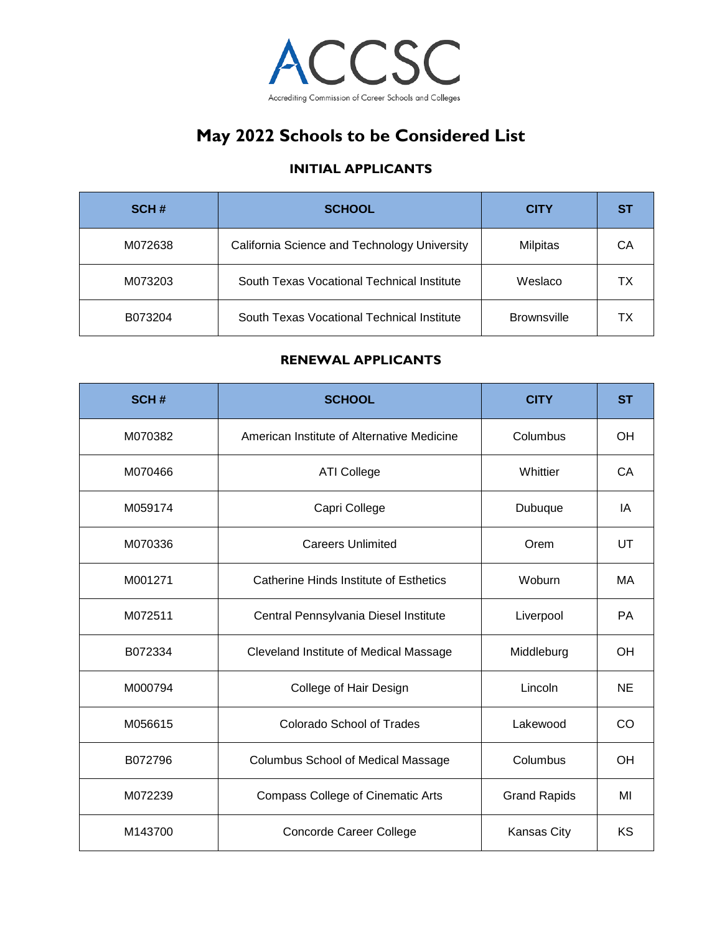

## **May 2022 Schools to be Considered List**

## **INITIAL APPLICANTS**

| SCH#    | <b>SCHOOL</b>                                | <b>CITY</b>        | <b>ST</b> |
|---------|----------------------------------------------|--------------------|-----------|
| M072638 | California Science and Technology University | <b>Milpitas</b>    | СA        |
| M073203 | South Texas Vocational Technical Institute   | Weslaco            | ΤХ        |
| B073204 | South Texas Vocational Technical Institute   | <b>Brownsville</b> | тх        |

## **RENEWAL APPLICANTS**

| SCH#    | <b>SCHOOL</b>                              | <b>CITY</b>         | <b>ST</b> |
|---------|--------------------------------------------|---------------------|-----------|
| M070382 | American Institute of Alternative Medicine | Columbus            | OH        |
| M070466 | <b>ATI College</b>                         | Whittier            | CA        |
| M059174 | Capri College                              | Dubuque             | IA        |
| M070336 | <b>Careers Unlimited</b>                   | Orem                | UT        |
| M001271 | Catherine Hinds Institute of Esthetics     | Woburn              | MA        |
| M072511 | Central Pennsylvania Diesel Institute      | Liverpool           | PA        |
| B072334 | Cleveland Institute of Medical Massage     | Middleburg          | <b>OH</b> |
| M000794 | College of Hair Design                     | Lincoln             | NE        |
| M056615 | <b>Colorado School of Trades</b>           | Lakewood            | <b>CO</b> |
| B072796 | <b>Columbus School of Medical Massage</b>  | Columbus            | <b>OH</b> |
| M072239 | <b>Compass College of Cinematic Arts</b>   | <b>Grand Rapids</b> | MI        |
| M143700 | <b>Concorde Career College</b>             | Kansas City         | <b>KS</b> |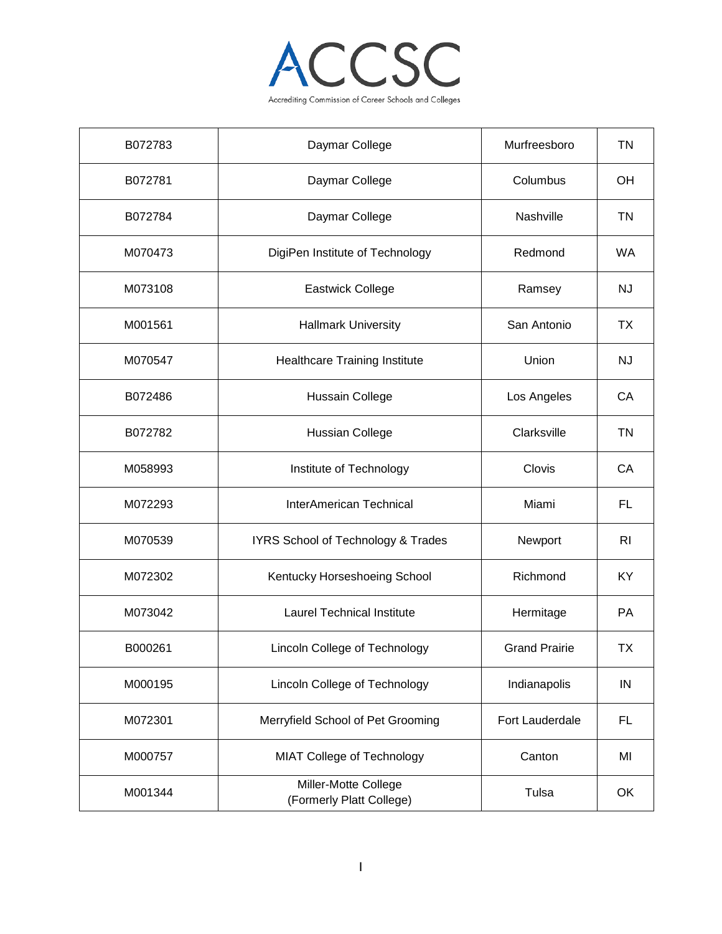

| B072783 | Daymar College                                   | Murfreesboro         | TN             |
|---------|--------------------------------------------------|----------------------|----------------|
| B072781 | Daymar College                                   | Columbus             | OH             |
| B072784 | Daymar College                                   | Nashville            | <b>TN</b>      |
| M070473 | DigiPen Institute of Technology                  | Redmond              | <b>WA</b>      |
| M073108 | <b>Eastwick College</b>                          | Ramsey               | <b>NJ</b>      |
| M001561 | <b>Hallmark University</b>                       | San Antonio          | <b>TX</b>      |
| M070547 | <b>Healthcare Training Institute</b>             | Union                | <b>NJ</b>      |
| B072486 | Hussain College                                  | Los Angeles          | CA             |
| B072782 | <b>Hussian College</b>                           | Clarksville          | <b>TN</b>      |
| M058993 | Institute of Technology                          | Clovis               | CA             |
| M072293 | <b>InterAmerican Technical</b>                   | Miami                | FL             |
| M070539 | IYRS School of Technology & Trades               | Newport              | R <sub>l</sub> |
| M072302 | Kentucky Horseshoeing School                     | Richmond             | KY             |
| M073042 | <b>Laurel Technical Institute</b>                | Hermitage            | PA             |
| B000261 | Lincoln College of Technology                    | <b>Grand Prairie</b> | <b>TX</b>      |
| M000195 | <b>Lincoln College of Technology</b>             | Indianapolis         | IN             |
| M072301 | Merryfield School of Pet Grooming                | Fort Lauderdale      | <b>FL</b>      |
| M000757 | MIAT College of Technology                       | Canton               | MI             |
| M001344 | Miller-Motte College<br>(Formerly Platt College) | Tulsa                | OK             |